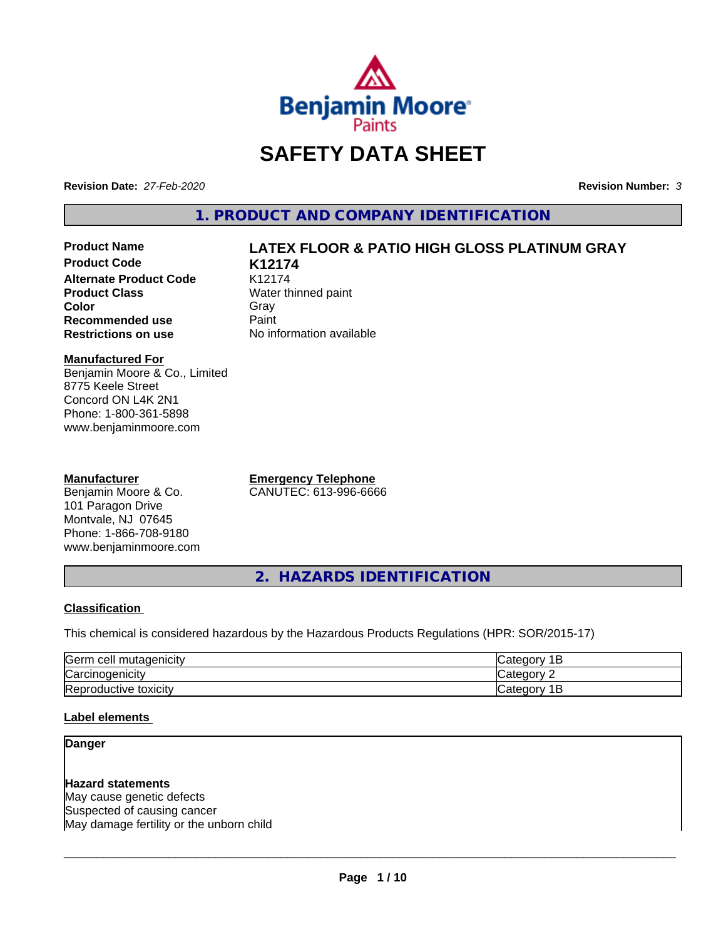

# **SAFETY DATA SHEET**

**Revision Date:** *27-Feb-2020* **Revision Number:** *3*

**1. PRODUCT AND COMPANY IDENTIFICATION**

**Product Code K12174 Alternate Product Code** K12174<br>**Product Class** Water th **Color** Gray Gray **Recommended use** Paint<br> **Restrictions on use** No inf

# **Product Name LATEX FLOOR & PATIO HIGH GLOSS PLATINUM GRAY**

**Water thinned paint No information available** 

# **Manufactured For**

Benjamin Moore & Co., Limited 8775 Keele Street Concord ON L4K 2N1 Phone: 1-800-361-5898 www.benjaminmoore.com

# **Manufacturer**

Benjamin Moore & Co. 101 Paragon Drive Montvale, NJ 07645 Phone: 1-866-708-9180 www.benjaminmoore.com **Emergency Telephone** CANUTEC: 613-996-6666

**2. HAZARDS IDENTIFICATION**

# **Classification**

This chemical is considered hazardous by the Hazardous Products Regulations (HPR: SOR/2015-17)

| lGerm<br>cell<br>"adenicit"<br>m       | -                    |
|----------------------------------------|----------------------|
| ⌒<br>∴arc<br>. 1<br>ienicit            | .                    |
| -<br>toxicity<br><b>ICTIVA</b><br>≺ерг | --<br>ำ<br>valo<br>∽ |

# **Label elements**

# **Danger**

**Hazard statements** May cause genetic defects Suspected of causing cancer May damage fertility or the unborn child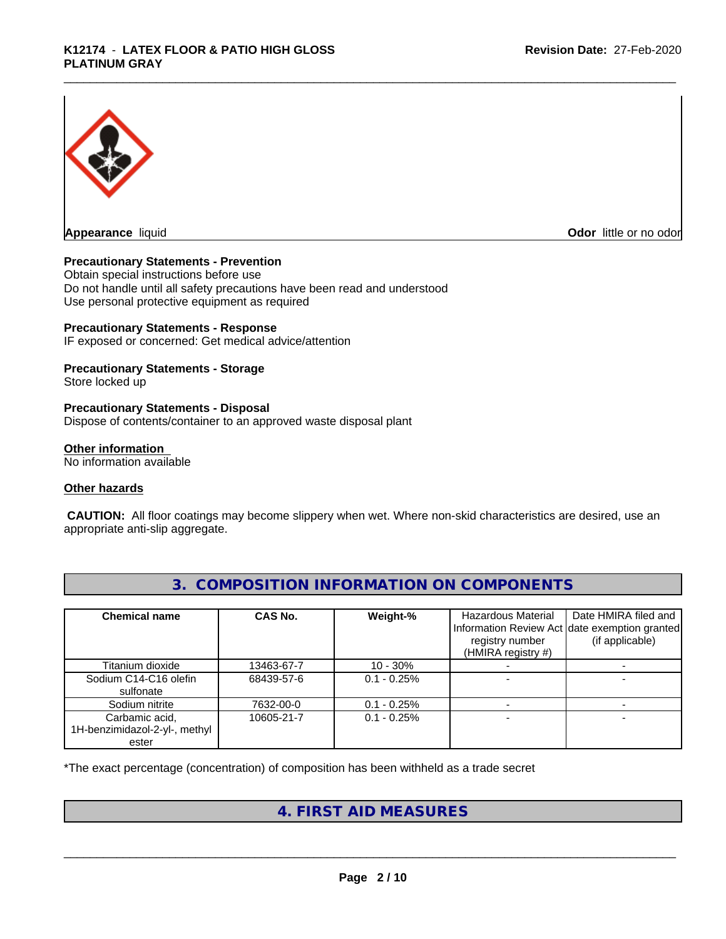

**Odor** little or no odor

# **Precautionary Statements - Prevention**

Obtain special instructions before use Do not handle until all safety precautions have been read and understood Use personal protective equipment as required

# **Precautionary Statements - Response**

IF exposed or concerned: Get medical advice/attention

# **Precautionary Statements - Storage**

Store locked up

# **Precautionary Statements - Disposal**

Dispose of contents/container to an approved waste disposal plant

# **Other information**

No information available

# **Other hazards**

 **CAUTION:** All floor coatings may become slippery when wet. Where non-skid characteristics are desired, use an appropriate anti-slip aggregate.

| <b>Chemical name</b>                                     | <b>CAS No.</b> | Weight-%      | <b>Hazardous Material</b><br>Information Review Act date exemption granted<br>registry number<br>$(HMIRA$ registry #) | Date HMIRA filed and<br>(if applicable) |
|----------------------------------------------------------|----------------|---------------|-----------------------------------------------------------------------------------------------------------------------|-----------------------------------------|
| Titanium dioxide                                         | 13463-67-7     | $10 - 30\%$   |                                                                                                                       |                                         |
| Sodium C14-C16 olefin<br>sulfonate                       | 68439-57-6     | $0.1 - 0.25%$ |                                                                                                                       |                                         |
| Sodium nitrite                                           | 7632-00-0      | $0.1 - 0.25%$ |                                                                                                                       |                                         |
| Carbamic acid,<br>1H-benzimidazol-2-yl-, methyl<br>ester | 10605-21-7     | $0.1 - 0.25%$ |                                                                                                                       |                                         |

# **3. COMPOSITION INFORMATION ON COMPONENTS**

\*The exact percentage (concentration) of composition has been withheld as a trade secret

# **4. FIRST AID MEASURES**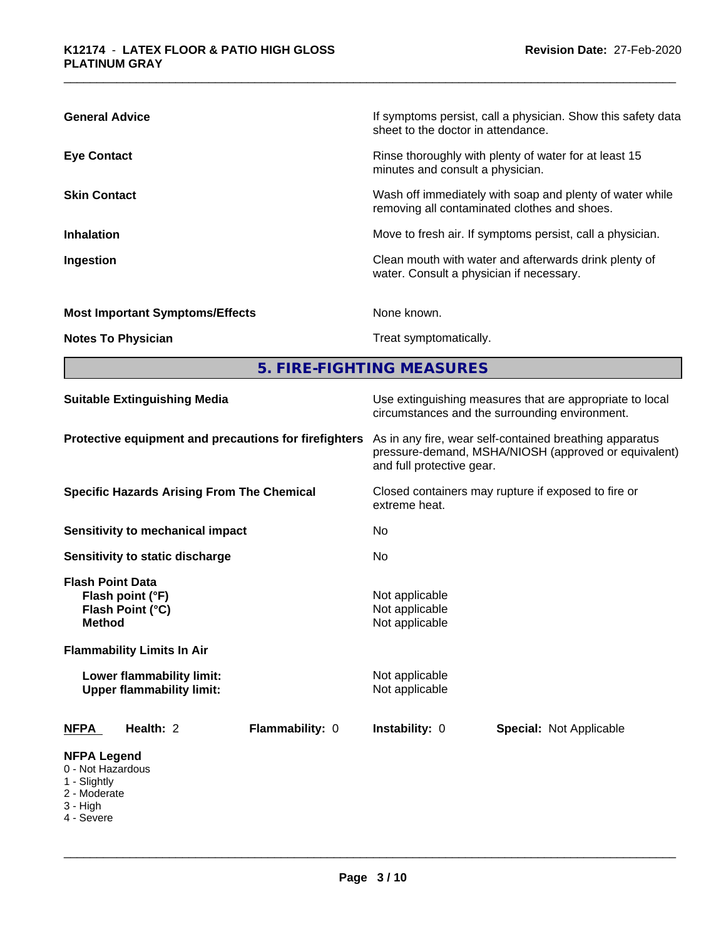| <b>General Advice</b>                  | If symptoms persist, call a physician. Show this safety data<br>sheet to the doctor in attendance.       |
|----------------------------------------|----------------------------------------------------------------------------------------------------------|
| <b>Eye Contact</b>                     | Rinse thoroughly with plenty of water for at least 15<br>minutes and consult a physician.                |
| <b>Skin Contact</b>                    | Wash off immediately with soap and plenty of water while<br>removing all contaminated clothes and shoes. |
| <b>Inhalation</b>                      | Move to fresh air. If symptoms persist, call a physician.                                                |
| Ingestion                              | Clean mouth with water and afterwards drink plenty of<br>water. Consult a physician if necessary.        |
| <b>Most Important Symptoms/Effects</b> | None known.                                                                                              |
| <b>Notes To Physician</b>              | Treat symptomatically.                                                                                   |

**5. FIRE-FIGHTING MEASURES**

| <b>Suitable Extinguishing Media</b><br>Protective equipment and precautions for firefighters<br><b>Specific Hazards Arising From The Chemical</b> |           |           |                 | Use extinguishing measures that are appropriate to local<br>circumstances and the surrounding environment.<br>As in any fire, wear self-contained breathing apparatus<br>pressure-demand, MSHA/NIOSH (approved or equivalent)<br>and full protective gear. |                                |                                                                                                                       |  |
|---------------------------------------------------------------------------------------------------------------------------------------------------|-----------|-----------|-----------------|------------------------------------------------------------------------------------------------------------------------------------------------------------------------------------------------------------------------------------------------------------|--------------------------------|-----------------------------------------------------------------------------------------------------------------------|--|
|                                                                                                                                                   |           |           |                 |                                                                                                                                                                                                                                                            |                                |                                                                                                                       |  |
|                                                                                                                                                   |           |           |                 | Closed containers may rupture if exposed to fire or<br>extreme heat.                                                                                                                                                                                       |                                |                                                                                                                       |  |
| <b>Sensitivity to mechanical impact</b><br>Sensitivity to static discharge                                                                        |           | No.<br>No |                 |                                                                                                                                                                                                                                                            |                                |                                                                                                                       |  |
|                                                                                                                                                   |           |           |                 |                                                                                                                                                                                                                                                            |                                | <b>Flash Point Data</b><br>Flash point (°F)<br>Flash Point (°C)<br><b>Method</b><br><b>Flammability Limits In Air</b> |  |
| Lower flammability limit:<br><b>Upper flammability limit:</b>                                                                                     |           |           |                 | Not applicable<br>Not applicable                                                                                                                                                                                                                           |                                |                                                                                                                       |  |
| NFPA                                                                                                                                              | Health: 2 |           | Flammability: 0 | Instability: 0                                                                                                                                                                                                                                             | <b>Special: Not Applicable</b> |                                                                                                                       |  |
| <b>NFPA Legend</b><br>0 - Not Hazardous<br>1 - Slightly<br>2 - Moderate<br>$3 - High$<br>4 - Severe                                               |           |           |                 |                                                                                                                                                                                                                                                            |                                |                                                                                                                       |  |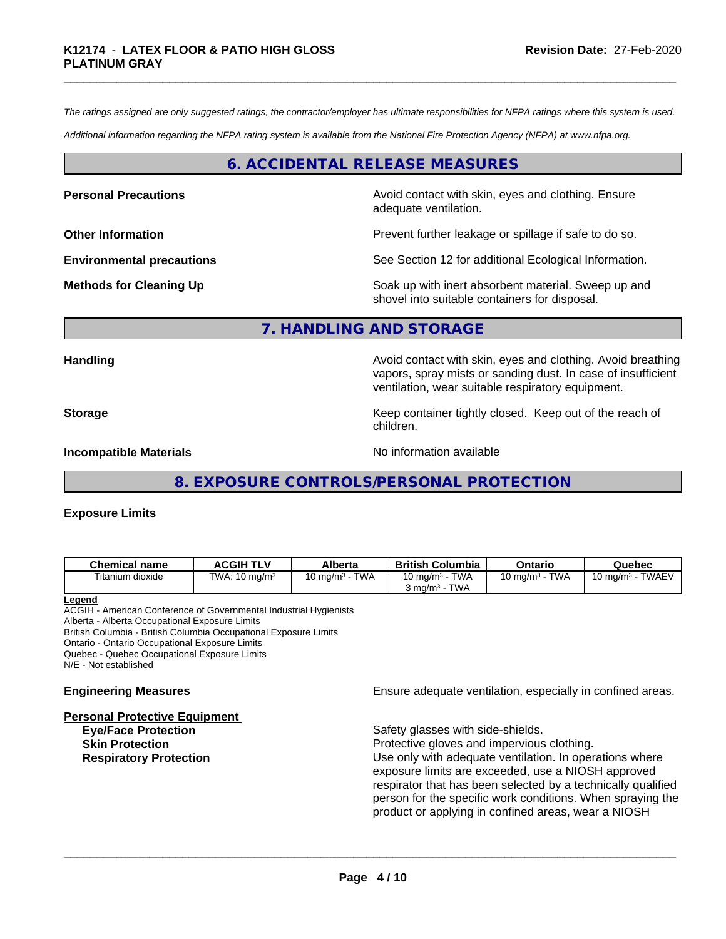*The ratings assigned are only suggested ratings, the contractor/employer has ultimate responsibilities for NFPA ratings where this system is used.*

*Additional information regarding the NFPA rating system is available from the National Fire Protection Agency (NFPA) at www.nfpa.org.*

# **6. ACCIDENTAL RELEASE MEASURES**

**Personal Precautions Precautions** Avoid contact with skin, eyes and clothing. Ensure adequate ventilation.

**Other Information Department Information Department Intervent further leakage or spillage if safe to do so.** 

**Environmental precautions** See Section 12 for additional Ecological Information.

**Methods for Cleaning Up Example 20 Soak** up with inert absorbent material. Sweep up and shovel into suitable containers for disposal.

# **7. HANDLING AND STORAGE**

**Handling Handling Avoid contact with skin, eyes and clothing. Avoid breathing and all of the sking of the anglishment of the sking and clothing. Avoid breathing** vapors, spray mists or sanding dust. In case of insufficient ventilation, wear suitable respiratory equipment.

**Storage** Storage **Keep container tightly closed.** Keep out of the reach of

**Incompatible Materials** Noinformation available

**8. EXPOSURE CONTROLS/PERSONAL PROTECTION**

children.

# **Exposure Limits**

| <b>Chemical name</b>                | <b>ACGIH TLV</b>         | Alberta            | <b>British</b><br>∟Columbia       | Ontario                   | Quebec                       |
|-------------------------------------|--------------------------|--------------------|-----------------------------------|---------------------------|------------------------------|
| $- \cdot \cdot$<br>Fitanium dioxide | TWA: $10 \text{ mg/m}^3$ | TWA<br>10 ma/m $3$ | <b>TWA</b><br>$10 \text{ ma/m}^3$ | <b>TWA</b><br>10 mg/m $3$ | <b>TWAEV</b><br>10 ma/m $^3$ |
|                                     |                          |                    | <b>TWA</b><br>$3 \text{ ma/m}^3$  |                           |                              |

## **Legend**

ACGIH - American Conference of Governmental Industrial Hygienists Alberta - Alberta Occupational Exposure Limits British Columbia - British Columbia Occupational Exposure Limits

Ontario - Ontario Occupational Exposure Limits

Quebec - Quebec Occupational Exposure Limits

N/E - Not established

**Personal Protective Equipment**

**Engineering Measures Ensure** Ensure adequate ventilation, especially in confined areas.

Safety glasses with side-shields. **Skin Protection Protection Protective gloves and impervious clothing. Respiratory Protection Number 1** (Use only with adequate ventilation. In operations where exposure limits are exceeded, use a NIOSH approved respirator that has been selected by a technically qualified person for the specific work conditions. When spraying the product or applying in confined areas, wear a NIOSH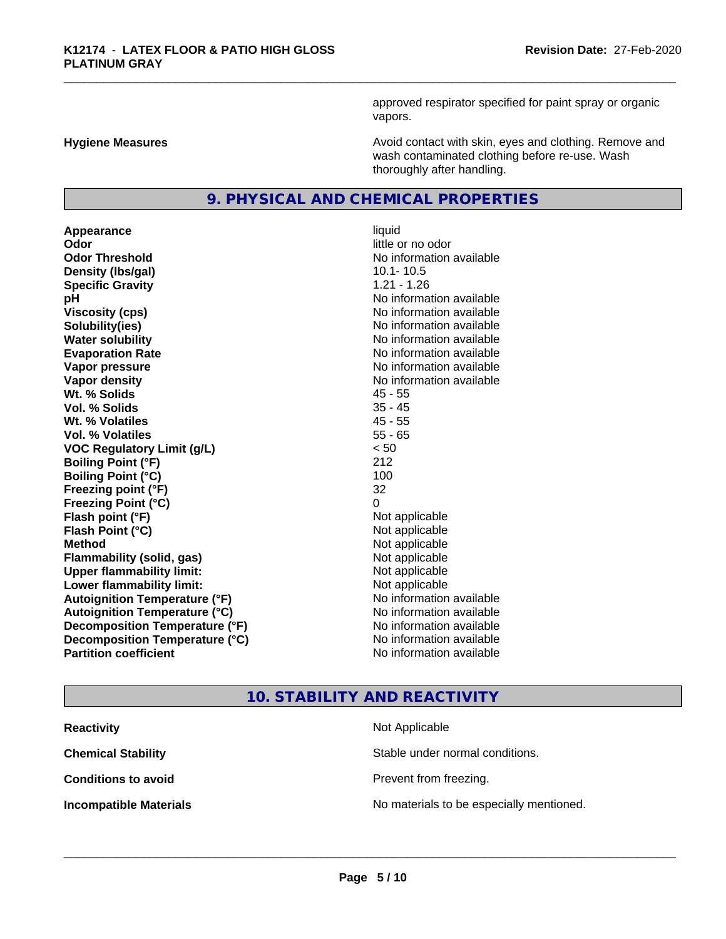approved respirator specified for paint spray or organic vapors.

**Hygiene Measures Avoid contact with skin, eyes and clothing. Remove and Avoid contact with skin, eyes and clothing. Remove and Avoid contact with skin, eyes and clothing. Remove and** wash contaminated clothing before re-use. Wash thoroughly after handling.

# **9. PHYSICAL AND CHEMICAL PROPERTIES**

**Appearance** liquid **Odor** little or no odor **Odor Threshold No information available No information available Density (lbs/gal)** 10.1-10.5 **Specific Gravity** 1.21 - 1.26 **pH** No information available **Viscosity (cps)** No information available **Solubility(ies)** No information available **Water solubility Water solubility Water solubility Water solubility Water solubility Water solution Evaporation Rate No information available No information available Vapor pressure** No information available **No information** available **Vapor density No information available No information available Wt. % Solids** 45 - 55 **Vol. % Solids** 35 - 45 **Wt. % Volatiles** 45 - 55 **Vol. % Volatiles** 55 - 65 **VOC Regulatory Limit (g/L)** < 50 **Boiling Point (°F)** 212 **Boiling Point (°C)** 100 **Freezing point (°F)** 32 **Freezing Point (°C)** 0 **Flash point (°F)**  $\qquad \qquad$  Not applicable **Flash Point (°C)** Not applicable **Method** Not applicable **Flammability (solid, gas)** Not applicable **Upper flammability limit:** Not applicable **Lower flammability limit:** Not applicable **Autoignition Temperature (°F)** No information available **Autoignition Temperature (°C)** No information available **Decomposition Temperature (°F)** No information available **Decomposition Temperature (°C)** No information available<br> **Partition coefficient Partition available** 

# **No information available**

# **10. STABILITY AND REACTIVITY**

| <b>Reactivity</b>             | Not Applicable                           |
|-------------------------------|------------------------------------------|
| <b>Chemical Stability</b>     | Stable under normal conditions.          |
| <b>Conditions to avoid</b>    | Prevent from freezing.                   |
| <b>Incompatible Materials</b> | No materials to be especially mentioned. |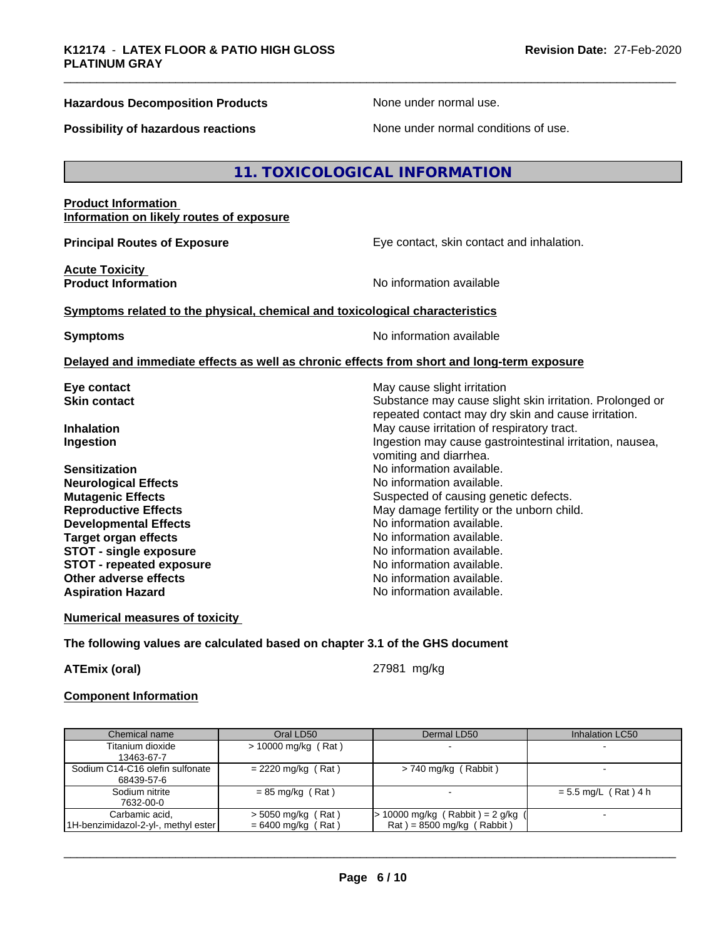# **Hazardous Decomposition Products** None under normal use.

**Possibility of hazardous reactions** None under normal conditions of use.

# **11. TOXICOLOGICAL INFORMATION**

# **Product Information Information on likely routes of exposure**

**Principal Routes of Exposure Exposure** Eye contact, skin contact and inhalation.

**Acute Toxicity<br>Product Information** 

**No information available** 

# **Symptoms related to the physical, chemical and toxicological characteristics**

**Symptoms** No information available

# **Delayed and immediate effects as well as chronic effects from short and long-term exposure**

| Eye contact                     | May cause slight irritation                              |
|---------------------------------|----------------------------------------------------------|
| <b>Skin contact</b>             | Substance may cause slight skin irritation. Prolonged or |
|                                 | repeated contact may dry skin and cause irritation.      |
| <b>Inhalation</b>               | May cause irritation of respiratory tract.               |
| Ingestion                       | Ingestion may cause gastrointestinal irritation, nausea, |
|                                 | vomiting and diarrhea.                                   |
| <b>Sensitization</b>            | No information available.                                |
| <b>Neurological Effects</b>     | No information available.                                |
| <b>Mutagenic Effects</b>        | Suspected of causing genetic defects.                    |
| <b>Reproductive Effects</b>     | May damage fertility or the unborn child.                |
| <b>Developmental Effects</b>    | No information available.                                |
| Target organ effects            | No information available.                                |
| <b>STOT - single exposure</b>   | No information available.                                |
| <b>STOT - repeated exposure</b> | No information available.                                |
| Other adverse effects           | No information available.                                |
| <b>Aspiration Hazard</b>        | No information available.                                |
|                                 |                                                          |

# **Numerical measures of toxicity**

# **The following values are calculated based on chapter 3.1 of the GHS document**

**ATEmix (oral)** 27981 mg/kg

 $\overline{\phantom{a}}$  ,  $\overline{\phantom{a}}$  ,  $\overline{\phantom{a}}$  ,  $\overline{\phantom{a}}$  ,  $\overline{\phantom{a}}$  ,  $\overline{\phantom{a}}$  ,  $\overline{\phantom{a}}$  ,  $\overline{\phantom{a}}$  ,  $\overline{\phantom{a}}$  ,  $\overline{\phantom{a}}$  ,  $\overline{\phantom{a}}$  ,  $\overline{\phantom{a}}$  ,  $\overline{\phantom{a}}$  ,  $\overline{\phantom{a}}$  ,  $\overline{\phantom{a}}$  ,  $\overline{\phantom{a}}$ 

# **Component Information**

| Chemical name                       | Oral LD50             | Dermal LD50                                     | Inhalation LC50        |
|-------------------------------------|-----------------------|-------------------------------------------------|------------------------|
| Titanium dioxide                    | $> 10000$ mg/kg (Rat) |                                                 |                        |
| 13463-67-7                          |                       |                                                 |                        |
| Sodium C14-C16 olefin sulfonate     | $= 2220$ mg/kg (Rat)  | > 740 mg/kg (Rabbit)                            |                        |
| 68439-57-6                          |                       |                                                 |                        |
| Sodium nitrite                      | $= 85$ mg/kg (Rat)    |                                                 | $= 5.5$ mg/L (Rat) 4 h |
| 7632-00-0                           |                       |                                                 |                        |
| Carbamic acid,                      | $>$ 5050 mg/kg (Rat)  | > 10000 mg/kg ( Rabbit ) = 2 g/kg (             |                        |
| 1H-benzimidazol-2-yl-, methyl ester | $= 6400$ mg/kg (Rat)  | $\text{Rat}$ ) = 8500 mg/kg ( $\text{Rabbit}$ ) |                        |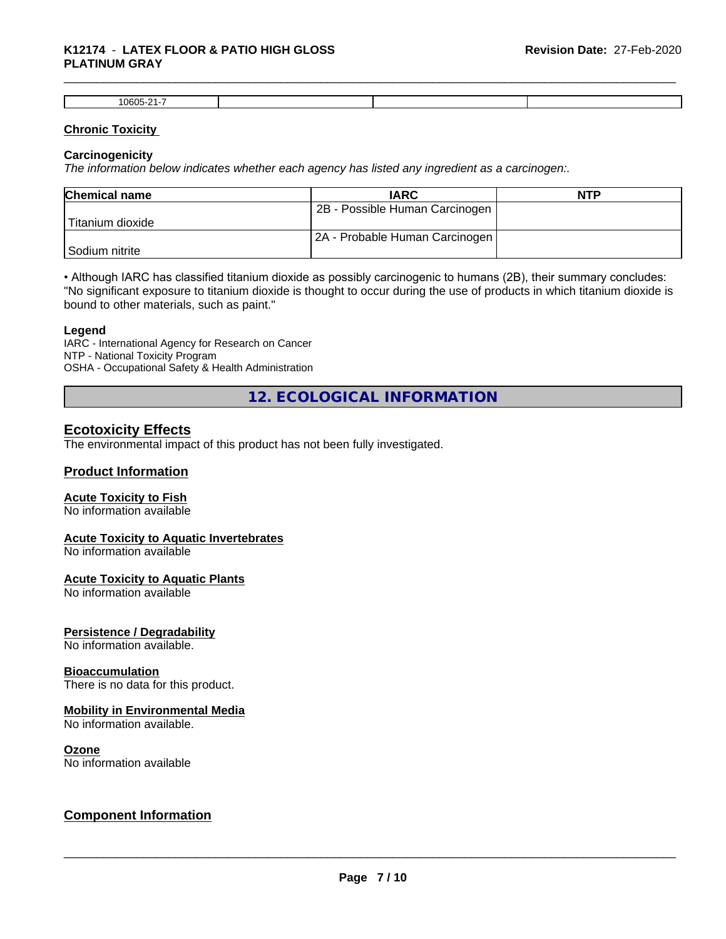# \_\_\_\_\_\_\_\_\_\_\_\_\_\_\_\_\_\_\_\_\_\_\_\_\_\_\_\_\_\_\_\_\_\_\_\_\_\_\_\_\_\_\_\_\_\_\_\_\_\_\_\_\_\_\_\_\_\_\_\_\_\_\_\_\_\_\_\_\_\_\_\_\_\_\_\_\_\_\_\_\_\_\_\_\_\_\_\_\_\_\_\_\_ **K12174** - **LATEX FLOOR & PATIO HIGH GLOSS PLATINUM GRAY**

| $10605$ -21 $^{-1}$<br>-- |  |  |
|---------------------------|--|--|

# **Chronic Toxicity**

# **Carcinogenicity**

*The information below indicateswhether each agency has listed any ingredient as a carcinogen:.*

| <b>Chemical name</b> | <b>IARC</b>                    | <b>NTP</b> |
|----------------------|--------------------------------|------------|
|                      | 2B - Possible Human Carcinogen |            |
| l Titanium dioxide   |                                |            |
|                      | 2A - Probable Human Carcinogen |            |
| l Sodium nitrite     |                                |            |

• Although IARC has classified titanium dioxide as possibly carcinogenic to humans (2B), their summary concludes: "No significant exposure to titanium dioxide is thought to occur during the use of products in which titanium dioxide is bound to other materials, such as paint."

# **Legend**

IARC - International Agency for Research on Cancer NTP - National Toxicity Program OSHA - Occupational Safety & Health Administration

**12. ECOLOGICAL INFORMATION**

# **Ecotoxicity Effects**

The environmental impact of this product has not been fully investigated.

# **Product Information**

# **Acute Toxicity to Fish**

No information available

# **Acute Toxicity to Aquatic Invertebrates**

No information available

# **Acute Toxicity to Aquatic Plants**

No information available

# **Persistence / Degradability**

No information available.

# **Bioaccumulation**

There is no data for this product.

# **Mobility in Environmental Media**

No information available.

# **Ozone**

No information available

# **Component Information**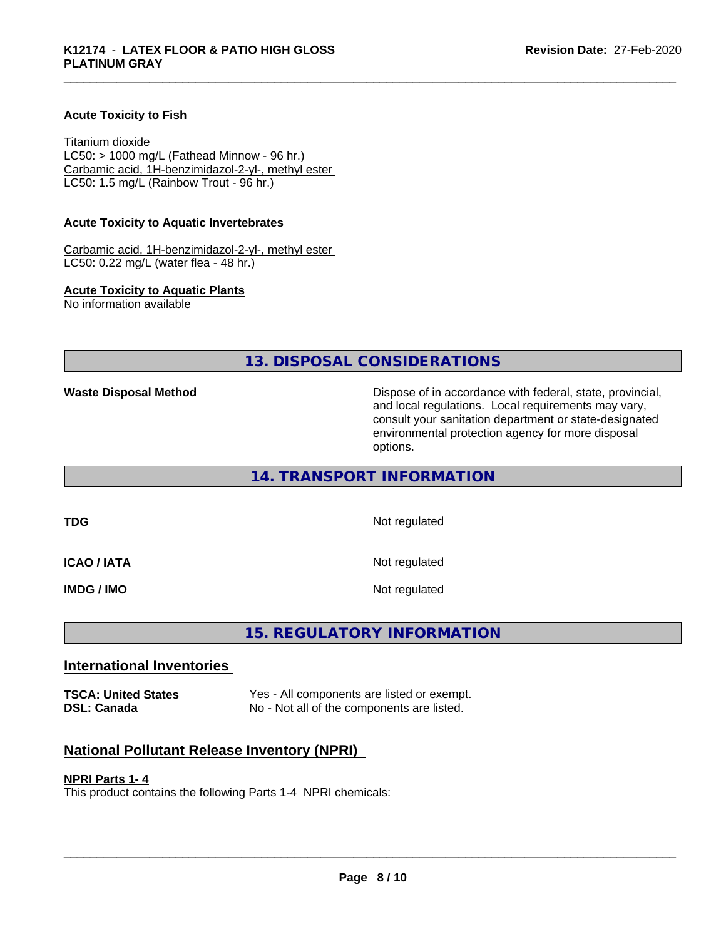# **Acute Toxicity to Fish**

Titanium dioxide  $LC50:$  > 1000 mg/L (Fathead Minnow - 96 hr.) Carbamic acid, 1H-benzimidazol-2-yl-, methyl ester LC50: 1.5 mg/L (Rainbow Trout - 96 hr.)

# **Acute Toxicity to Aquatic Invertebrates**

Carbamic acid, 1H-benzimidazol-2-yl-, methyl ester LC50: 0.22 mg/L (water flea - 48 hr.)

# **Acute Toxicity to Aquatic Plants**

No information available

**13. DISPOSAL CONSIDERATIONS**

**Waste Disposal Method** Mathol Dispose of in accordance with federal, state, provincial, and local regulations. Local requirements may vary, consult your sanitation department or state-designated environmental protection agency for more disposal options.

# **14. TRANSPORT INFORMATION**

**ICAO / IATA** 

**TDG** Not regulated

| Not regulated |  |
|---------------|--|
|---------------|--|

**IMDG / IMO** Not regulated

# **15. REGULATORY INFORMATION**

# **International Inventories**

| <b>TSCA: United States</b> | Yes - All components are listed or exempt. |
|----------------------------|--------------------------------------------|
| DSL: Canada                | No - Not all of the components are listed. |

# **National Pollutant Release Inventory (NPRI)**

# **NPRI Parts 1- 4**

This product contains the following Parts 1-4 NPRI chemicals: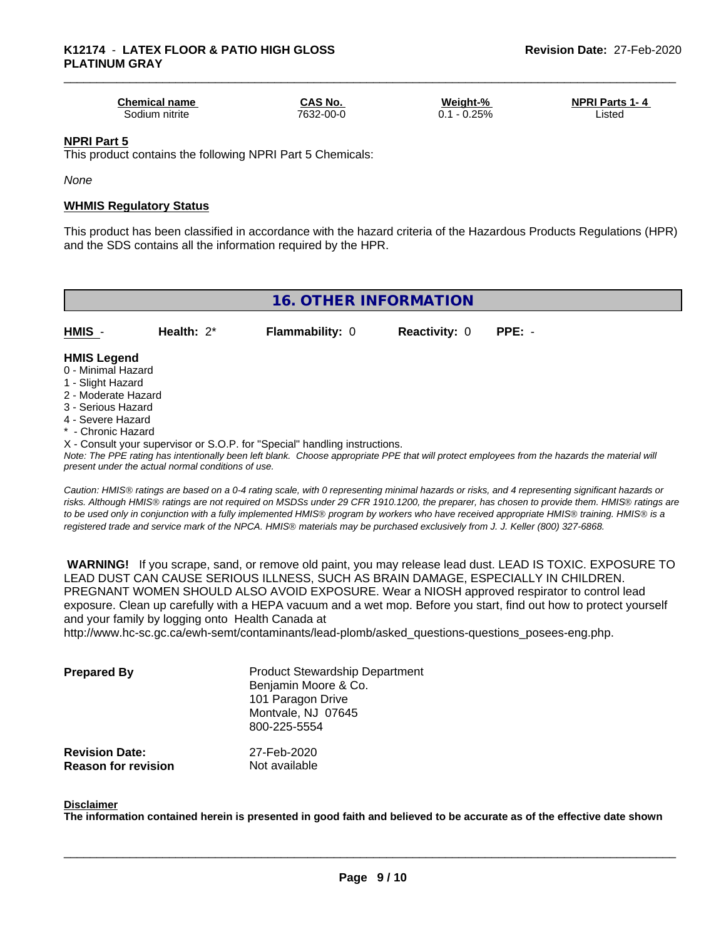| <b>Chemical name</b> | <b>CAS No.</b> | Weight-%       | <b>NPRI Parts 1-4</b> |
|----------------------|----------------|----------------|-----------------------|
| Sodium nitrite       | 7632-00-0      | $-0.25%$<br>υ. | _isted                |

# **NPRI Part 5**

This product contains the following NPRI Part 5 Chemicals:

*None*

# **WHMIS Regulatory Status**

This product has been classified in accordance with the hazard criteria of the Hazardous Products Regulations (HPR) and the SDS contains all the information required by the HPR.

# **16. OTHER INFORMATION HMIS** - **Health:** 2\* **Flammability:** 0 **Reactivity:** 0 **PPE:** -

# **HMIS Legend**

- 0 Minimal Hazard
- 1 Slight Hazard
- 2 Moderate Hazard
- 3 Serious Hazard
- 4 Severe Hazard
- \* Chronic Hazard
- X Consult your supervisor or S.O.P. for "Special" handling instructions.

*Note: The PPE rating has intentionally been left blank. Choose appropriate PPE that will protect employees from the hazards the material will present under the actual normal conditions of use.*

*Caution: HMISÒ ratings are based on a 0-4 rating scale, with 0 representing minimal hazards or risks, and 4 representing significant hazards or risks. Although HMISÒ ratings are not required on MSDSs under 29 CFR 1910.1200, the preparer, has chosen to provide them. HMISÒ ratings are to be used only in conjunction with a fully implemented HMISÒ program by workers who have received appropriate HMISÒ training. HMISÒ is a registered trade and service mark of the NPCA. HMISÒ materials may be purchased exclusively from J. J. Keller (800) 327-6868.*

 **WARNING!** If you scrape, sand, or remove old paint, you may release lead dust. LEAD IS TOXIC. EXPOSURE TO LEAD DUST CAN CAUSE SERIOUS ILLNESS, SUCH AS BRAIN DAMAGE, ESPECIALLY IN CHILDREN. PREGNANT WOMEN SHOULD ALSO AVOID EXPOSURE.Wear a NIOSH approved respirator to control lead exposure. Clean up carefully with a HEPA vacuum and a wet mop. Before you start, find out how to protect yourself and your family by logging onto Health Canada at

http://www.hc-sc.gc.ca/ewh-semt/contaminants/lead-plomb/asked\_questions-questions\_posees-eng.php.

| <b>Prepared By</b>                                  | <b>Product Stewardship Department</b><br>Benjamin Moore & Co.<br>101 Paragon Drive<br>Montvale, NJ 07645<br>800-225-5554 |  |
|-----------------------------------------------------|--------------------------------------------------------------------------------------------------------------------------|--|
| <b>Revision Date:</b><br><b>Reason for revision</b> | 27-Feb-2020<br>Not available                                                                                             |  |

# **Disclaimer**

The information contained herein is presented in good faith and believed to be accurate as of the effective date shown